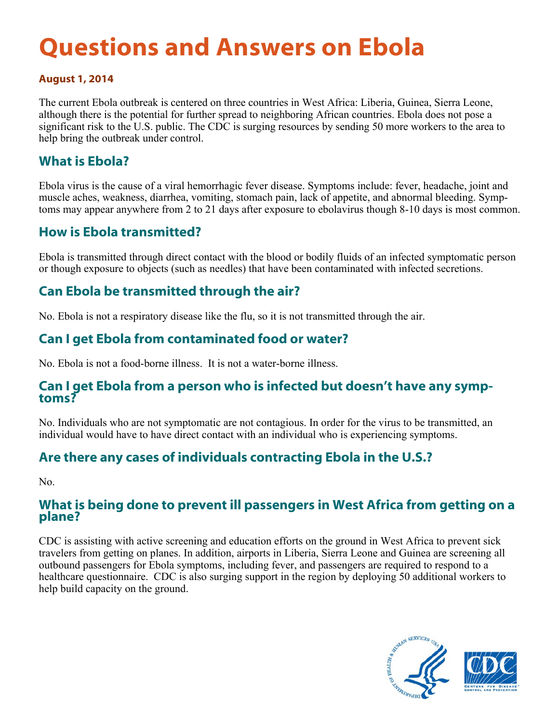# **Questions and Answers on Ebola**

#### **August 1, 2014**

The current Ebola outbreak is centered on three countries in West Africa: Liberia, Guinea, Sierra Leone, although there is the potential for further spread to neighboring African countries. Ebola does not pose a significant risk to the U.S. public. The CDC is surging resources by sending 50 more workers to the area to help bring the outbreak under control.

#### **What is Ebola?**

Ebola virus is the cause of a viral hemorrhagic fever disease. Symptoms include: fever, headache, joint and muscle aches, weakness, diarrhea, vomiting, stomach pain, lack of appetite, and abnormal bleeding. Symptoms may appear anywhere from 2 to 21 days after exposure to ebolavirus though 8-10 days is most common.

#### **How is Ebola transmitted?**

Ebola is transmitted through direct contact with the blood or bodily fluids of an infected symptomatic person or though exposure to objects (such as needles) that have been contaminated with infected secretions.

### **Can Ebola be transmitted through the air?**

No. Ebola is not a respiratory disease like the flu, so it is not transmitted through the air.

## **Can I get Ebola from contaminated food or water?**

No. Ebola is not a food-borne illness. It is not a water-borne illness.

#### **Can I get Ebola from a person who is infected but doesn't have any symptoms?**

No. Individuals who are not symptomatic are not contagious. In order for the virus to be transmitted, an individual would have to have direct contact with an individual who is experiencing symptoms.

### **Are there any cases of individuals contracting Ebola in the U.S.?**

No.

#### **What is being done to prevent ill passengers in West Africa from getting on a plane?**

CDC is assisting with active screening and education efforts on the ground in West Africa to prevent sick travelers from getting on planes. In addition, airports in Liberia, Sierra Leone and Guinea are screening all outbound passengers for Ebola symptoms, including fever, and passengers are required to respond to a healthcare questionnaire. CDC is also surging support in the region by deploying 50 additional workers to help build capacity on the ground.